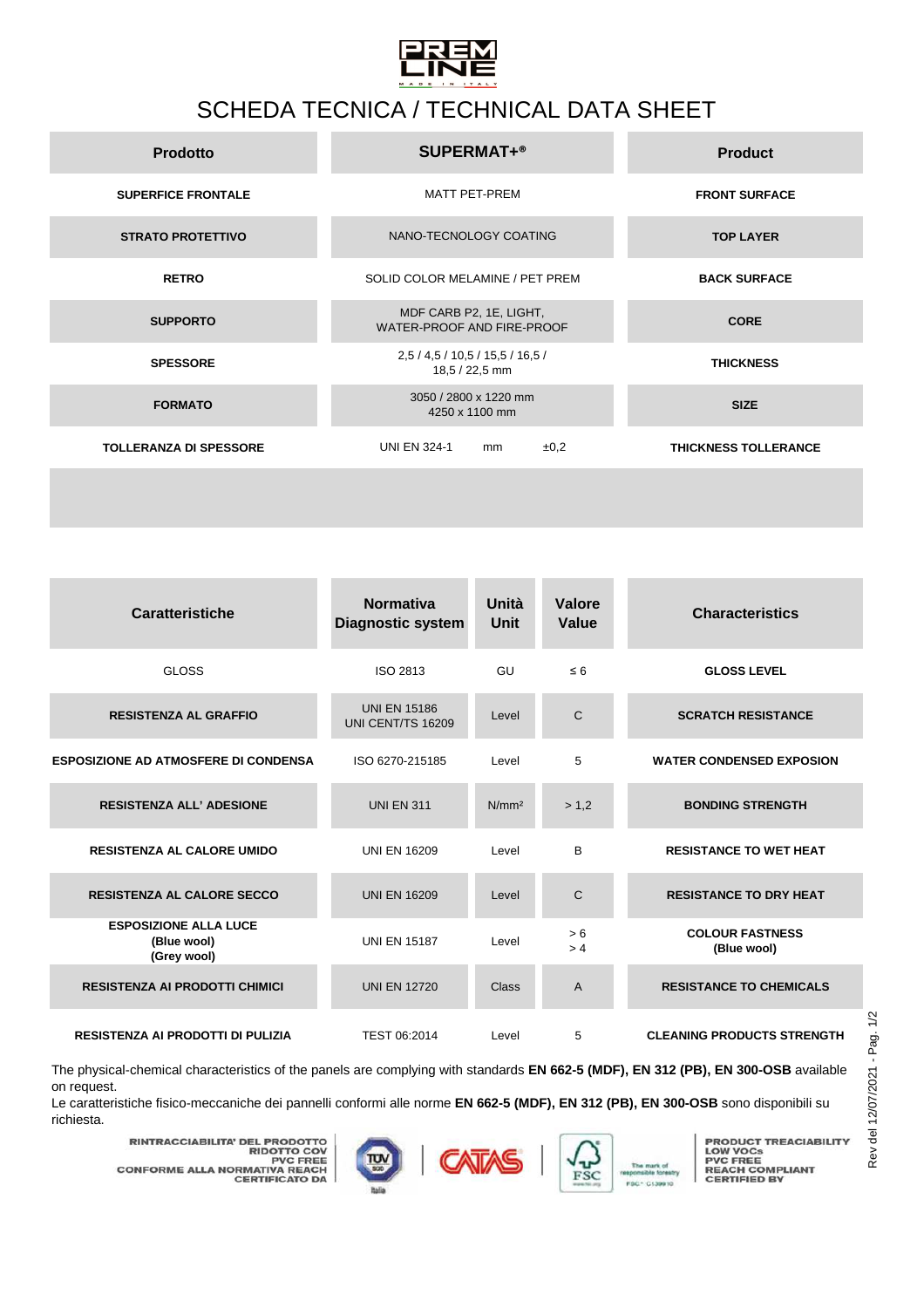

## SCHEDA TECNICA / TECHNICAL DATA SHEET

| <b>Prodotto</b>               | <b>SUPERMAT+®</b>                                     | <b>Product</b>              |
|-------------------------------|-------------------------------------------------------|-----------------------------|
| <b>SUPERFICE FRONTALE</b>     | <b>MATT PET-PREM</b>                                  | <b>FRONT SURFACE</b>        |
| <b>STRATO PROTETTIVO</b>      | NANO-TECNOLOGY COATING                                | <b>TOP LAYER</b>            |
| <b>RETRO</b>                  | SOLID COLOR MELAMINE / PET PREM                       | <b>BACK SURFACE</b>         |
| <b>SUPPORTO</b>               | MDF CARB P2, 1E, LIGHT,<br>WATER-PROOF AND FIRE-PROOF | <b>CORE</b>                 |
| <b>SPESSORE</b>               | 2,5 / 4,5 / 10,5 / 15,5 / 16,5 /<br>18,5 / 22,5 mm    | <b>THICKNESS</b>            |
| <b>FORMATO</b>                | 3050 / 2800 x 1220 mm<br>4250 x 1100 mm               | <b>SIZE</b>                 |
| <b>TOLLERANZA DI SPESSORE</b> | <b>UNI EN 324-1</b><br>±0,2<br>mm                     | <b>THICKNESS TOLLERANCE</b> |
|                               |                                                       |                             |

| <b>Caratteristiche</b>                                     | <b>Normativa</b><br><b>Diagnostic system</b> | Unità<br>Unit     | Valore<br>Value | <b>Characteristics</b>                |
|------------------------------------------------------------|----------------------------------------------|-------------------|-----------------|---------------------------------------|
| <b>GLOSS</b>                                               | ISO 2813                                     | GU                | $\leq 6$        | <b>GLOSS LEVEL</b>                    |
| <b>RESISTENZA AL GRAFFIO</b>                               | <b>UNI EN 15186</b><br>UNI CENT/TS 16209     | Level             | C               | <b>SCRATCH RESISTANCE</b>             |
| <b>ESPOSIZIONE AD ATMOSFERE DI CONDENSA</b>                | ISO 6270-215185                              | Level             | 5               | <b>WATER CONDENSED EXPOSION</b>       |
| <b>RESISTENZA ALL' ADESIONE</b>                            | <b>UNI EN 311</b>                            | N/mm <sup>2</sup> | > 1.2           | <b>BONDING STRENGTH</b>               |
| <b>RESISTENZA AL CALORE UMIDO</b>                          | <b>UNI EN 16209</b>                          | Level             | B               | <b>RESISTANCE TO WET HEAT</b>         |
| <b>RESISTENZA AL CALORE SECCO</b>                          | <b>UNI EN 16209</b>                          | Level             | C               | <b>RESISTANCE TO DRY HEAT</b>         |
| <b>ESPOSIZIONE ALLA LUCE</b><br>(Blue wool)<br>(Grey wool) | <b>UNI EN 15187</b>                          | Level             | > 6<br>>4       | <b>COLOUR FASTNESS</b><br>(Blue wool) |
| <b>RESISTENZA AI PRODOTTI CHIMICI</b>                      | <b>UNI EN 12720</b>                          | Class             | A               | <b>RESISTANCE TO CHEMICALS</b>        |
| <b>RESISTENZA AI PRODOTTI DI PULIZIA</b>                   | TEST 06:2014                                 | Level             | 5               | <b>CLEANING PRODUCTS STRENGTH</b>     |

The physical-chemical characteristics of the panels are complying with standards **EN 662-5 (MDF), EN 312 (PB), EN 300-OSB** available on request.

Le caratteristiche fisico-meccaniche dei pannelli conformi alle norme **EN 662-5 (MDF), EN 312 (PB), EN 300-OSB** sono disponibili su richiesta.

**RINTRACCIABILITA' DEL PRODOTTO<br>RIDOTTO COV<br>PVC FREE<br>CONFORME ALLA NORMATIVA REACH<br>CERTIFICATO DA** 





**PRODUCT TREACIABILITY<br>PVC FREE<br>PVC FREE<br>REACH COMPLIANT<br>CERTIFIED BY**